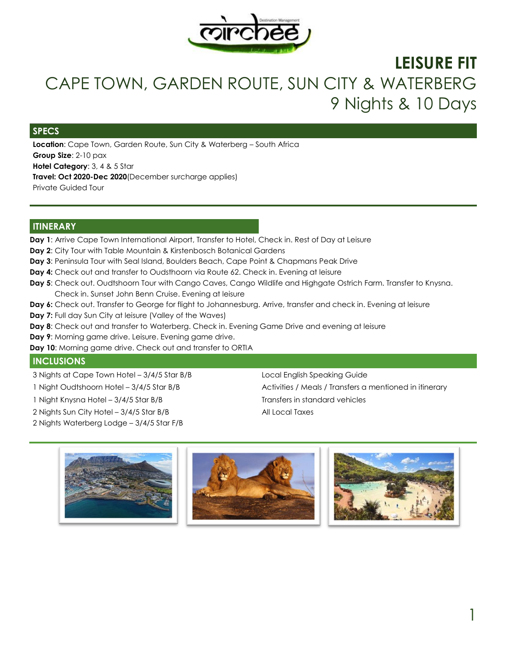

# **LEISURE FIT**  CAPE TOWN, GARDEN ROUTE, SUN CITY & WATERBERG 9 Nights & 10 Days

### **SPECS**

**Location**: Cape Town, Garden Route, Sun City & Waterberg – South Africa **Group Size**: 2-10 pax **Hotel Category**: 3, 4 & 5 Star **Travel: Oct 2020-Dec 2020**(December surcharge applies) Private Guided Tour

### **ITINERARY**

**Day 1**: Arrive Cape Town International Airport, Transfer to Hotel, Check in. Rest of Day at Leisure

- **Day 2**: City Tour with Table Mountain & Kirstenbosch Botanical Gardens
- **Day 3**: Peninsula Tour with Seal Island, Boulders Beach, Cape Point & Chapmans Peak Drive
- **Day 4:** Check out and transfer to Oudsthoorn via Route 62. Check in. Evening at leisure
- **Day 5**: Check out. Oudtshoorn Tour with Cango Caves, Cango Wildlife and Highgate Ostrich Farm. Transfer to Knysna. Check in. Sunset John Benn Cruise. Evening at leisure
- Day 6: Check out. Transfer to George for flight to Johannesburg. Arrive, transfer and check in. Evening at leisure
- **Day 7:** Full day Sun City at leisure (Valley of the Waves)
- **Day 8**: Check out and transfer to Waterberg. Check in. Evening Game Drive and evening at leisure
- **Day 9**: Morning game drive. Leisure. Evening game drive.
- **Day 10**: Morning game drive. Check out and transfer to ORTIA

### **INCLUSIONS**

- 3 Nights at Cape Town Hotel 3/4/5 Star B/B Local English Speaking Guide
- 
- 1 Night Knysna Hotel 3/4/5 Star B/B Transfers in standard vehicles
- 2 Nights Sun City Hotel 3/4/5 Star B/B
- 2 Nights Waterberg Lodge 3/4/5 Star F/B

1 Night Oudtshoorn Hotel – 3/4/5 Star B/B Activities / Meals / Transfers a mentioned in itinerary All Local Taxes